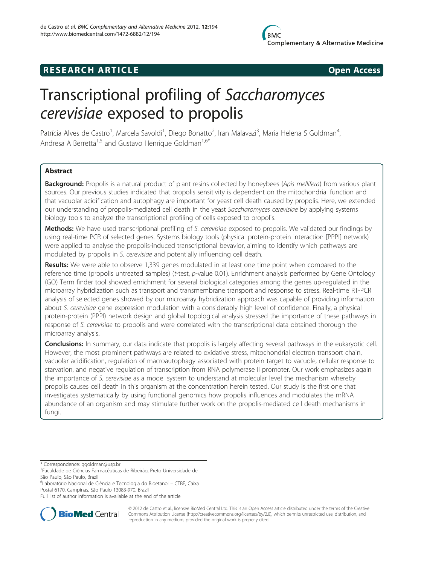# **RESEARCH ARTICLE Example 2014 CONSIDERING CONSIDERING CONSIDERING CONSIDERING CONSIDERING CONSIDERING CONSIDERING CONSIDERING CONSIDERING CONSIDERING CONSIDERING CONSIDERING CONSIDERING CONSIDERING CONSIDERING CONSIDE**



# Transcriptional profiling of Saccharomyces cerevisiae exposed to propolis

Patrícia Alves de Castro<sup>1</sup>, Marcela Savoldi<sup>1</sup>, Diego Bonatto<sup>2</sup>, Iran Malavazi<sup>3</sup>, Maria Helena S Goldman<sup>4</sup> , Andresa A Berretta<sup>1,5</sup> and Gustavo Henrique Goldman<sup>1,6\*</sup>

# Abstract

Background: Propolis is a natural product of plant resins collected by honeybees (Apis mellifera) from various plant sources. Our previous studies indicated that propolis sensitivity is dependent on the mitochondrial function and that vacuolar acidification and autophagy are important for yeast cell death caused by propolis. Here, we extended our understanding of propolis-mediated cell death in the yeast Saccharomyces cerevisiae by applying systems biology tools to analyze the transcriptional profiling of cells exposed to propolis.

Methods: We have used transcriptional profiling of S. cerevisiae exposed to propolis. We validated our findings by using real-time PCR of selected genes. Systems biology tools (physical protein-protein interaction [PPPI] network) were applied to analyse the propolis-induced transcriptional bevavior, aiming to identify which pathways are modulated by propolis in S. cerevisiae and potentially influencing cell death.

Results: We were able to observe 1,339 genes modulated in at least one time point when compared to the reference time (propolis untreated samples) (t-test, p-value 0.01). Enrichment analysis performed by Gene Ontology (GO) Term finder tool showed enrichment for several biological categories among the genes up-regulated in the microarray hybridization such as transport and transmembrane transport and response to stress. Real-time RT-PCR analysis of selected genes showed by our microarray hybridization approach was capable of providing information about S. cerevisiae gene expression modulation with a considerably high level of confidence. Finally, a physical protein-protein (PPPI) network design and global topological analysis stressed the importance of these pathways in response of S. cerevisiae to propolis and were correlated with the transcriptional data obtained thorough the microarray analysis.

**Conclusions:** In summary, our data indicate that propolis is largely affecting several pathways in the eukaryotic cell. However, the most prominent pathways are related to oxidative stress, mitochondrial electron transport chain, vacuolar acidification, regulation of macroautophagy associated with protein target to vacuole, cellular response to starvation, and negative regulation of transcription from RNA polymerase II promoter. Our work emphasizes again the importance of S. cerevisiae as a model system to understand at molecular level the mechanism whereby propolis causes cell death in this organism at the concentration herein tested. Our study is the first one that investigates systematically by using functional genomics how propolis influences and modulates the mRNA abundance of an organism and may stimulate further work on the propolis-mediated cell death mechanisms in fungi.

6 Laboratório Nacional de Ciência e Tecnologia do Bioetanol – CTBE, Caixa Postal 6170, Campinas, São Paulo 13083-970, Brazil

Full list of author information is available at the end of the article



© 2012 de Castro et al.; licensee BioMed Central Ltd. This is an Open Access article distributed under the terms of the Creative Commons Attribution License [\(http://creativecommons.org/licenses/by/2.0\)](http://creativecommons.org/licenses/by/2.0), which permits unrestricted use, distribution, and reproduction in any medium, provided the original work is properly cited.

<sup>\*</sup> Correspondence: [ggoldman@usp.br](mailto:ggoldman@usp.br) <sup>1</sup>

Faculdade de Ciências Farmacêuticas de Ribeirão, Preto Universidade de São Paulo, São Paulo, Brazil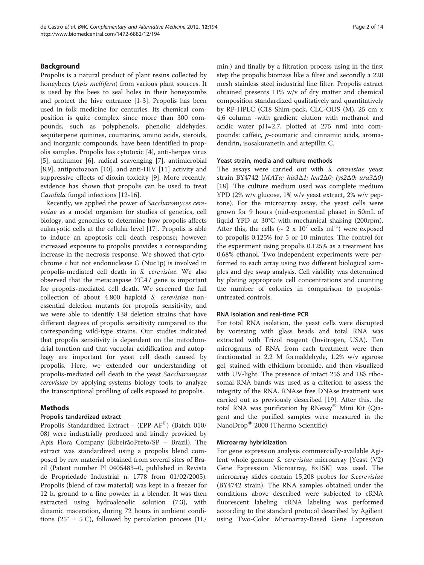# Background

Propolis is a natural product of plant resins collected by honeybees (Apis mellifera) from various plant sources. It is used by the bees to seal holes in their honeycombs and protect the hive entrance [[1-3](#page-12-0)]. Propolis has been used in folk medicine for centuries. Its chemical composition is quite complex since more than 300 compounds, such as polyphenols, phenolic aldehydes, sequiterpene quinines, coumarins, amino acids, steroids, and inorganic compounds, have been identified in propolis samples. Propolis has cytotoxic [\[4](#page-12-0)], anti-herpes virus [[5\]](#page-12-0), antitumor [\[6](#page-12-0)], radical scavenging [[7\]](#page-12-0), antimicrobial [[8,9\]](#page-12-0), antiprotozoan [[10\]](#page-12-0), and anti-HIV [[11\]](#page-12-0) activity and suppressive effects of dioxin toxicity [[9\]](#page-12-0). More recently, evidence has shown that propolis can be used to treat Candida fungal infections [[12](#page-12-0)-[16\]](#page-12-0).

Recently, we applied the power of Saccharomyces cerevisiae as a model organism for studies of genetics, cell biology, and genomics to determine how propolis affects eukaryotic cells at the cellular level [[17\]](#page-12-0). Propolis is able to induce an apoptosis cell death response; however, increased exposure to propolis provides a corresponding increase in the necrosis response. We showed that cytochrome c but not endonuclease G (Nuc1p) is involved in propolis-mediated cell death in S. cerevisiae. We also observed that the metacaspase YCA1 gene is important for propolis-mediated cell death. We screened the full collection of about 4,800 haploid S. cerevisiae nonessential deletion mutants for propolis sensitivity, and we were able to identify 138 deletion strains that have different degrees of propolis sensitivity compared to the corresponding wild-type strains. Our studies indicated that propolis sensitivity is dependent on the mitochondrial function and that vacuolar acidification and autophagy are important for yeast cell death caused by propolis. Here, we extended our understanding of propolis-mediated cell death in the yeast Saccharomyces cerevisiae by applying systems biology tools to analyze the transcriptional profiling of cells exposed to propolis.

# Methods

#### Propolis tandardized extract

Propolis Standardized Extract - (EPP- $AF^{(8)}$ ) (Batch 010/ 08) were industrially produced and kindly provided by Apis Flora Company (RibeirãoPreto/SP – Brazil). The extract was standardized using a propolis blend composed by raw material obtained from several sites of Brazil (Patent number PI 0405483–0, published in Revista de Propriedade Industrial n. 1778 from 01/02/2005). Propolis (blend of raw material) was kept in a freezer for 12 h, ground to a fine powder in a blender. It was then extracted using hydroalcoolic solution (7:3), with dinamic maceration, during 72 hours in ambient conditions (25 $\degree$  ± 5 $\degree$ C), followed by percolation process (1L/

min.) and finally by a filtration process using in the first step the propolis biomass like a filter and secondly a 220 mesh stainless steel industrial line filter. Propolis extract obtained presents 11% w/v of dry matter and chemical composition standardized qualitatively and quantitatively by RP-HPLC (C18 Shim-pack, CLC-ODS (M), 25 cm x 4,6 column -with gradient elution with methanol and acidic water pH=2,7, plotted at 275 nm) into compounds: caffeic, p-coumaric and cinnamic acids, aromadendrin, isosakuranetin and artepillin C.

#### Yeast strain, media and culture methods

The assays were carried out with S. cerevisiae yeast strain BY4742 (MATα; his3Δ1; leu2Δ0; lys2Δ0; ura3Δ0) [[18\]](#page-12-0). The culture medium used was complete medium YPD (2% w/v glucose, 1% w/v yeast extract, 2% w/v peptone). For the microarray assay, the yeast cells were grown for 9 hours (mid-exponential phase) in 50mL of liquid YPD at 30°C with mechanical shaking (200rpm). After this, the cells ( $\sim 2 \times 10^7$  cells ml<sup>-1</sup>) were exposed to propolis 0.125% for 5 or 10 minutes. The control for the experiment using propolis 0.125% as a treatment has 0.68% ethanol. Two independent experiments were performed to each array using two different biological samples and dye swap analysis. Cell viability was determined by plating appropriate cell concentrations and counting the number of colonies in comparison to propolisuntreated controls.

#### RNA isolation and real-time PCR

For total RNA isolation, the yeast cells were disrupted by vortexing with glass beads and total RNA was extracted with Trizol reagent (Invitrogen, USA). Ten micrograms of RNA from each treatment were then fractionated in 2.2 M formaldehyde, 1.2% w/v agarose gel, stained with ethidium bromide, and then visualized with UV-light. The presence of intact 25S and 18S ribosomal RNA bands was used as a criterion to assess the integrity of the RNA. RNAse free DNAse treatment was carried out as previously described [[19](#page-12-0)]. After this, the total RNA was purification by  $RNeasy^{\omega}$  Mini Kit (Qiagen) and the purified samples were measured in the NanoDrop<sup>®</sup> 2000 (Thermo Scientific).

#### Microarray hybridization

For gene expression analysis commercially-available Agilent whole genome S. cerevisiae microarray [Yeast (V2) Gene Expression Microarray, 8x15K] was used. The microarray slides contain 15,208 probes for S.cerevisiae (BY4742 strain). The RNA samples obtained under the conditions above described were subjected to cRNA fluorescent labeling. cRNA labeling was performed according to the standard protocol described by Agilient using Two-Color Microarray-Based Gene Expression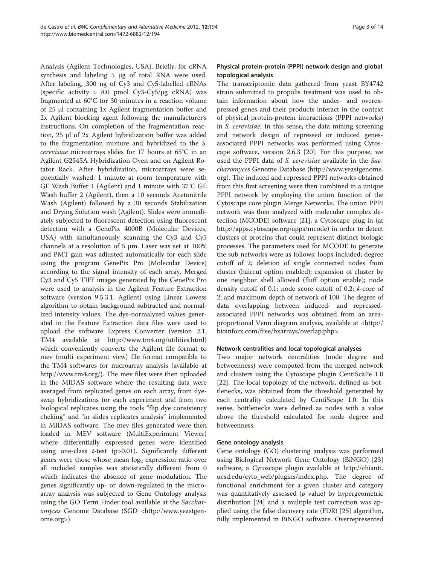Analysis (Agilent Technologies, USA). Briefly, for cRNA synthesis and labeling 5 μg of total RNA were used. After labeling, 300 ng of Cy3 and Cy5-labelled cRNAs (specific activity > 8.0 pmol Cy3-Cy5/μg cRNA) was fragmented at 60°C for 30 minutes in a reaction volume of 25 μl containing 1x Agilent fragmentation buffer and 2x Agilent blocking agent following the manufacturer's instructions. On completion of the fragmentation reaction, 25 μl of 2x Agilent hybridization buffer was added to the fragmentation mixture and hybridized to the S. cerevisiae microarrays slides for 17 hours at 65°C in an Agilent G2545A Hybridization Oven and on Agilent Rotator Rack. After hybridization, microarrays were sequentially washed: 1 minute at room temperature with GE Wash Buffer 1 (Agilent) and 1 minute with 37°C GE Wash buffer 2 (Agilent), then a 10 seconds Acetonitrile Wash (Agilent) followed by a 30 seconds Stabilization and Drying Solution wash (Agilent). Slides were immediately subjected to fluorescent detection using fluorescent detection with a GenePix 4000B (Molecular Devices, USA) with simultaneously scanning the Cy3 and Cy5 channels at a resolution of 5 μm. Laser was set at 100% and PMT gain was adjusted automatically for each slide using the program GenePix Pro (Molecular Device) according to the signal intensity of each array. Merged Cy3 and Cy5 TIFF images generated by the GenePix Pro were used to analysis in the Agilent Feature Extraction software (version 9.5.3.1, Agilent) using Linear Lowess algorithm to obtain background subtracted and normalized intensity values. The dye-normalyzed values generated in the Feature Extraction data files were used to upload the software Express Converter (version 2.1, TM4 available at<http://www.tm4.org/utilities.html>) which conveniently converts the Agilent file format to mev (multi experiment view) file format compatible to the TM4 softwares for microarray analysis (available at <http://www.tm4.org/>). The mev files were then uploaded in the MIDAS software where the resulting data were averaged from replicated genes on each array, from dyeswap hybridizations for each experiment and from two biological replicates using the tools "flip dye consistency cheking" and "in slides replicates analysis" implemented in MIDAS software. The mev files generated were then loaded in MEV software (MultiExperiment Viewer) where differentially expressed genes were identified using one-class  $t$ -test (p>0.01). Significantly different genes were those whose mean  $log<sub>2</sub>$  expression ratio over all included samples was statistically different from 0 which indicates the absence of gene modulation. The genes significantly up- or down-regulated in the microarray analysis was subjected to Gene Ontology analysis using the GO Term Finder tool available at the *Sacchar*omyces Genome Database (SGD [<http://www.yeastgen](http://www.yeastgenome.org)[ome.org>](http://www.yeastgenome.org)).

# Physical protein-protein (PPPI) network design and global topological analysis

The transcriptomic data gathered from yeast BY4742 strain submitted to propolis treatment was used to obtain information about how the under- and overexpressed genes and their products interact in the context of physical protein-protein interactions (PPPI networks) in S. cerevisiae. In this sense, the data mining screening and network design of repressed or induced genesassociated PPPI networks was performed using Cytoscape software, version 2.6.3 [[20\]](#page-12-0). For this purpose, we used the PPPI data of S. cerevisiae available in the Saccharomyces Genome Database [\(http://www.yeastgenome.](http://www.yeastgenome.org) [org](http://www.yeastgenome.org)). The induced and repressed PPPI networks obtained from this first screening were then combined in a unique PPPI network by employing the union function of the Cytoscape core plugin Merge Networks. The union PPPI network was then analyzed with molecular complex detection (MCODE) software [\[21](#page-12-0)], a Cytoscape plug-in (at [http://apps.cytoscape.org/apps/mcode\)](http://apps.cytoscape.org/apps/mcode) in order to detect clusters of proteins that could represent distinct biologic processes. The parameters used for MCODE to generate the sub networks were as follows: loops included; degree cutoff of 2; deletion of single connected nodes from cluster (haircut option enabled); expansion of cluster by one neighbor shell allowed (fluff option enable); node density cutoff of 0.1; node score cutoff of 0.2; k-core of 2; and maximum depth of network of 100. The degree of data overlapping between induced- and repressedassociated PPPI networks was obtained from an areaproportional Venn diagram analysis, available at [<http://](http://bioinforx.com/free/bxarrays/overlap.php) [bioinforx.com/free/bxarrays/overlap.php>](http://bioinforx.com/free/bxarrays/overlap.php).

# Network centralities and local topological analyses

Two major network centralities (node degree and betweenness) were computed from the merged network and clusters using the Cytoscape plugin CentiScaPe 1.0 [[22\]](#page-12-0). The local topology of the network, defined as bottlenecks, was obtained from the threshold generated by each centrality calculated by CentiScape 1.0. In this sense, bottlenecks were defined as nodes with a value above the threshold calculated for node degree and betweenness.

#### Gene ontology analysis

Gene ontology (GO) clustering analysis was performed using Biological Network Gene Ontology (BiNGO) [[23](#page-12-0)] software, a Cytoscape plugin available at [http://chianti.](http://chianti.ucsd.edu/cyto_web/plugins/index.php) [ucsd.edu/cyto\\_web/plugins/index.php](http://chianti.ucsd.edu/cyto_web/plugins/index.php). The degree of functional enrichment for a given cluster and category was quantitatively assessed ( $p$  value) by hypergeometric distribution [[24](#page-12-0)] and a multiple test correction was applied using the false discovery rate (FDR) [[25](#page-12-0)] algorithm, fully implemented in BiNGO software. Overrepresented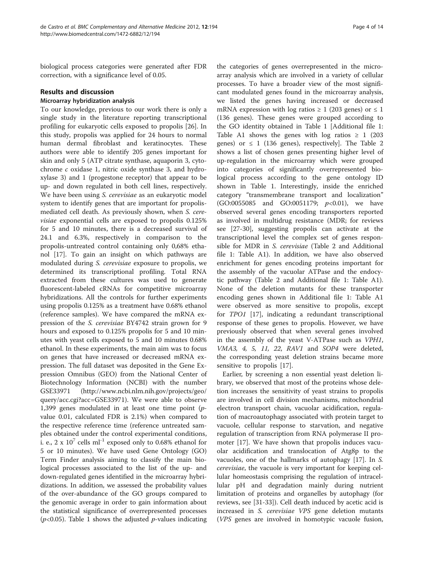biological process categories were generated after FDR correction, with a significance level of 0.05.

### Results and discussion

# Microarray hybridization analysis

To our knowledge, previous to our work there is only a single study in the literature reporting transcriptional profiling for eukaryotic cells exposed to propolis [\[26](#page-12-0)]. In this study, propolis was applied for 24 hours to normal human dermal fibroblast and keratinocytes. These authors were able to identify 205 genes important for skin and only 5 (ATP citrate synthase, aquaporin 3, cytochrome c oxidase 1, nitric oxide synthase 3, and hydroxylase 3) and 1 (progestone receptor) that appear to be up- and down regulated in both cell lines, respectively. We have been using *S. cerevisiae* as an eukaryotic model system to identify genes that are important for propolismediated cell death. As previously shown, when S. cerevisiae exponential cells are exposed to propolis 0.125% for 5 and 10 minutes, there is a decreased survival of 24.1 and 6.3%, respectively in comparison to the propolis-untreated control containing only 0,68% ethanol [[17](#page-12-0)]. To gain an insight on which pathways are modulated during S. cerevisiae exposure to propolis, we determined its transcriptional profiling. Total RNA extracted from these cultures was used to generate fluorescent-labeled cRNAs for competitive microarray hybridizations. All the controls for further experiments using propolis 0.125% as a treatment have 0.68% ethanol (reference samples). We have compared the mRNA expression of the S. cerevisiae BY4742 strain grown for 9 hours and exposed to 0.125% propolis for 5 and 10 minutes with yeast cells exposed to 5 and 10 minutes 0.68% ethanol. In these experiments, the main aim was to focus on genes that have increased or decreased mRNA expression. The full dataset was deposited in the Gene Expression Omnibus (GEO) from the National Center of Biotechnology Information (NCBI) with the number GSE33971 ([http://www.ncbi.nlm.nih.gov/projects/geo/](http://www.ncbi.nlm.nih.gov/projects/geo/query/acc.cgi?acc=GSE33971) [query/acc.cgi?acc=GSE33971](http://www.ncbi.nlm.nih.gov/projects/geo/query/acc.cgi?acc=GSE33971)). We were able to observe 1,399 genes modulated in at least one time point  $(p$ value 0.01, calculated FDR is 2.1%) when compared to the respective reference time (reference untreated samples obtained under the control experimental conditions, i. e.,  $2 \times 10^7$  cells ml<sup>-1</sup> exposed only to 0.68% ethanol for 5 or 10 minutes). We have used Gene Ontology (GO) Term Finder analysis aiming to classify the main biological processes associated to the list of the up- and down-regulated genes identified in the microarray hybridizations. In addition, we assessed the probability values of the over-abundance of the GO groups compared to the genomic average in order to gain information about the statistical significance of overrepresented processes ( $p$ <0.05). Table [1](#page-4-0) shows the adjusted  $p$ -values indicating

the categories of genes overrepresented in the microarray analysis which are involved in a variety of cellular processes. To have a broader view of the most significant modulated genes found in the microarray analysis, we listed the genes having increased or decreased mRNA expression with log ratios  $\geq 1$  (203 genes) or  $\leq 1$ (136 genes). These genes were grouped according to the GO identity obtained in Table [1](#page-4-0) [Additional file [1](#page-11-0): Table A1 shows the genes with log ratios  $\geq 1$  (203 genes) or  $\leq 1$  (136 genes), respectively]. The Table [2](#page-6-0) shows a list of chosen genes presenting higher level of up-regulation in the microarray which were grouped into categories of significantly overrepresented biological process according to the gene ontology ID shown in Table [1](#page-4-0). Interestingly, inside the enriched category "transmembrane transport and localization" (GO:0055085 and GO:0051179; p<0.01), we have observed several genes encoding transporters reported as involved in multidrug resistance (MDR; for reviews see [\[27](#page-12-0)-[30\]](#page-12-0), suggesting propolis can activate at the transcriptional level the complex set of genes responsible for MDR in *S. cerevisiae* (Table [2](#page-6-0) and Additional file [1](#page-11-0): Table A1). In addition, we have also observed enrichment for genes encoding proteins important for the assembly of the vacuolar ATPase and the endocytic pathway (Table [2](#page-6-0) and Additional file [1:](#page-11-0) Table A1). None of the deletion mutants for these transporter encoding genes shown in Additional file [1:](#page-11-0) Table A1 were observed as more sensitive to propolis, except for TPO1 [[17](#page-12-0)], indicating a redundant transcriptional response of these genes to propolis. However, we have previously observed that when several genes involved in the assembly of the yeast V-ATPase such as VPH1, VMA3, 4, 5, 11, 22, RAV1 and SOP4 were deleted, the corresponding yeast deletion strains became more sensitive to propolis [[17](#page-12-0)].

Earlier, by screening a non essential yeast deletion library, we observed that most of the proteins whose deletion increases the sensitivity of yeast strains to propolis are involved in cell division mechanisms, mitochondrial electron transport chain, vacuolar acidification, regulation of macroautophagy associated with protein target to vacuole, cellular response to starvation, and negative regulation of transcription from RNA polymerase II promoter [\[17\]](#page-12-0). We have shown that propolis induces vacuolar acidification and translocation of Atg8p to the vacuoles, one of the hallmarks of autophagy [\[17](#page-12-0)]. In S. cerevisiae, the vacuole is very important for keeping cellular homeostasis comprising the regulation of intracellular pH and degradation mainly during nutrient limitation of proteins and organelles by autophagy (for reviews, see [\[31-33](#page-12-0)]). Cell death induced by acetic acid is increased in S. cerevisiae VPS gene deletion mutants (VPS genes are involved in homotypic vacuole fusion,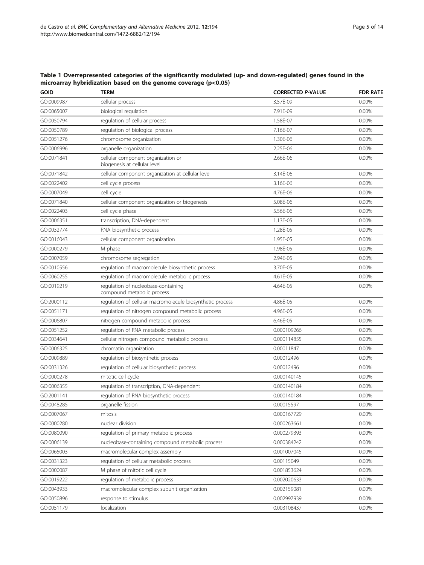| <b>GOID</b> | <b>TERM</b>                                                        | <b>CORRECTED P-VALUE</b> | <b>FDR RATE</b> |
|-------------|--------------------------------------------------------------------|--------------------------|-----------------|
| GO:0009987  | cellular process                                                   | 3.57F-09                 | 0.00%           |
| GO:0065007  | biological regulation                                              | 7.91E-09                 | 0.00%           |
| GO:0050794  | regulation of cellular process                                     | 1.58E-07                 | 0.00%           |
| GO:0050789  | regulation of biological process                                   | 7.16E-07                 | 0.00%           |
| GO:0051276  | chromosome organization                                            | 1.30E-06                 | 0.00%           |
| GO:0006996  | organelle organization                                             | 2.25E-06                 | 0.00%           |
| GO:0071841  | cellular component organization or<br>biogenesis at cellular level | 2.66E-06                 | 0.00%           |
| GO:0071842  | cellular component organization at cellular level                  | 3.14E-06                 | 0.00%           |
| GO:0022402  | cell cycle process                                                 | 3.16E-06                 | 0.00%           |
| GO:0007049  | cell cycle                                                         | 4.76E-06                 | 0.00%           |
| GO:0071840  | cellular component organization or biogenesis                      | 5.08E-06                 | 0.00%           |
| GO:0022403  | cell cycle phase                                                   | 5.56E-06                 | 0.00%           |
| GO:0006351  | transcription, DNA-dependent                                       | 1.13E-05                 | 0.00%           |
| GO:0032774  | RNA biosynthetic process                                           | 1.28E-05                 | 0.00%           |
| GO:0016043  | cellular component organization                                    | 1.95E-05                 | 0.00%           |
| GO:0000279  | M phase                                                            | 1.98E-05                 | 0.00%           |
| GO:0007059  | chromosome segregation                                             | 2.94E-05                 | 0.00%           |
| GO:0010556  | regulation of macromolecule biosynthetic process                   | 3.70E-05                 | 0.00%           |
| GO:0060255  | regulation of macromolecule metabolic process                      | 4.61E-05                 | 0.00%           |
| GO:0019219  | regulation of nucleobase-containing<br>compound metabolic process  | 4.64E-05                 | 0.00%           |
| GO:2000112  | regulation of cellular macromolecule biosynthetic process          | 4.86E-05                 | 0.00%           |
| GO:0051171  | regulation of nitrogen compound metabolic process                  | 4.96E-05                 | 0.00%           |
| GO:0006807  | nitrogen compound metabolic process                                | 6.46E-05                 | 0.00%           |
| GO:0051252  | regulation of RNA metabolic process                                | 0.000109266              | 0.00%           |
| GO:0034641  | cellular nitrogen compound metabolic process                       | 0.000114855              | 0.00%           |
| GO:0006325  | chromatin organization                                             | 0.00011847               | 0.00%           |
| GO:0009889  | regulation of biosynthetic process                                 | 0.00012496               | 0.00%           |
| GO:0031326  | regulation of cellular biosynthetic process                        | 0.00012496               | 0.00%           |
| GO:0000278  | mitotic cell cycle                                                 | 0.000140145              | 0.00%           |
| GO:0006355  | regulation of transcription, DNA-dependent                         | 0.000140184              | 0.00%           |
| GO:2001141  | regulation of RNA biosynthetic process                             | 0.000140184              | 0.00%           |
| GO:0048285  | organelle fission                                                  | 0.00015597               | 0.00%           |
| GO:0007067  | mitosis                                                            | 0.000167729              | 0.00%           |
| GO:0000280  | nuclear division                                                   | 0.000263661              | 0.00%           |
| GO:0080090  | regulation of primary metabolic process                            | 0.000279393              | 0.00%           |
| GO:0006139  | nucleobase-containing compound metabolic process                   | 0.000384242              | 0.00%           |
| GO:0065003  | macromolecular complex assembly                                    | 0.001007045              | 0.00%           |
| GO:0031323  | regulation of cellular metabolic process                           | 0.00115049               | 0.00%           |
| GO:0000087  | M phase of mitotic cell cycle                                      | 0.001853624              | 0.00%           |
| GO:0019222  | regulation of metabolic process                                    | 0.002020633              | 0.00%           |
| GO:0043933  | macromolecular complex subunit organization                        | 0.002159081              | 0.00%           |
| GO:0050896  | response to stimulus                                               | 0.002997939              | 0.00%           |
| GO:0051179  | localization                                                       | 0.003108437              | 0.00%           |

<span id="page-4-0"></span>Table 1 Overrepresented categories of the significantly modulated (up- and down-regulated) genes found in the microarray hybridization based on the genome coverage (p<0.05)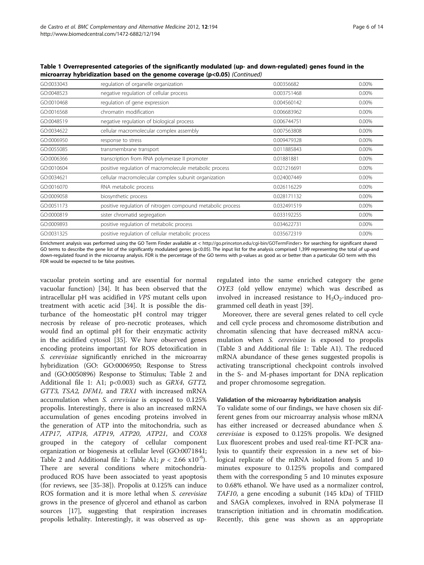| --------   | see on are geneme esterage (p (socialized)                 |             |       |
|------------|------------------------------------------------------------|-------------|-------|
| GO:0033043 | regulation of organelle organization                       | 0.00356682  | 0.00% |
| GO:0048523 | negative regulation of cellular process                    | 0.003751468 | 0.00% |
| GO:0010468 | regulation of gene expression                              | 0.004560142 | 0.00% |
| GO:0016568 | chromatin modification                                     | 0.006683962 | 0.00% |
| GO:0048519 | negative regulation of biological process                  | 0.006744751 | 0.00% |
| GO:0034622 | cellular macromolecular complex assembly                   | 0.007563808 | 0.00% |
| GO:0006950 | response to stress                                         | 0.009479328 | 0.00% |
| GO:0055085 | transmembrane transport                                    | 0.011885843 | 0.00% |
| GO:0006366 | transcription from RNA polymerase II promoter              | 0.01881881  | 0.00% |
| GO:0010604 | positive regulation of macromolecule metabolic process     | 0.021216691 | 0.00% |
| GO:0034621 | cellular macromolecular complex subunit organization       | 0.024007449 | 0.00% |
| GO:0016070 | RNA metabolic process                                      | 0.026116229 | 0.00% |
| GO:0009058 | biosynthetic process                                       | 0.028171132 | 0.00% |
| GO:0051173 | positive regulation of nitrogen compound metabolic process | 0.032491519 | 0.00% |
| GO:0000819 | sister chromatid segregation                               | 0.033192255 | 0.00% |
| GO:0009893 | positive regulation of metabolic process                   | 0.034622731 | 0.00% |
| GO:0031325 | positive regulation of cellular metabolic process          | 0.035672319 | 0.00% |
|            |                                                            |             |       |

Table 1 Overrepresented categories of the significantly modulated (up- and down-regulated) genes found in the microarray hybridization based on the genome coverage (p<0.05) (Continued)

Enrichment analysis was performed using the GO Term Finder available at < [http://go.princeton.edu/cgi-bin/GOTermFinder>](http://go.princeton.edu/cgi-bin/GOTermFinder) for searching for significant shared GO terms to describe the gene list of the significantly modulated genes (p<0.05). The input list for the analysis comprised 1,399 representing the total of up-and down-regulated found in the microarray analysis. FDR is the percentage of the GO terms with p-values as good as or better than a particular GO term with this FDR would be expected to be false positives.

vacuolar protein sorting and are essential for normal vacuolar function) [\[34](#page-12-0)]. It has been observed that the intracellular pH was acidified in VPS mutant cells upon treatment with acetic acid [\[34](#page-12-0)]. It is possible the disturbance of the homeostatic pH control may trigger necrosis by release of pro-necrotic proteases, which would find an optimal pH for their enzymatic activity in the acidified cytosol [\[35](#page-12-0)]. We have observed genes encoding proteins important for ROS detoxification in S. cerevisiae significantly enriched in the microarray hybridization (GO: GO:0006950; Response to Stress and (GO:0050896) Response to Stimulus; Table [2](#page-6-0) and Additional file [1:](#page-11-0) A1; p<0.003) such as GRX4, GTT2, GTT3, TSA2, DFM1, and TRX1 with increased mRNA accumulation when S. cerevisiae is exposed to 0.125% propolis. Interestingly, there is also an increased mRNA accumulation of genes encoding proteins involved in the generation of ATP into the mitochondria, such as ATP17, ATP18, ATP19, ATP20, ATP21, and COX8 grouped in the category of cellular component organization or biogenesis at cellular level (GO:0071841; Table [2](#page-6-0) and Additional file [1](#page-11-0): Table A1;  $p < 2.66 \times 10^{-6}$ ). There are several conditions where mitochondriaproduced ROS have been associated to yeast apoptosis (for reviews, see [\[35](#page-12-0)-[38](#page-12-0)]). Propolis at 0.125% can induce ROS formation and it is more lethal when S. cerevisiae grows in the presence of glycerol and ethanol as carbon sources [\[17](#page-12-0)], suggesting that respiration increases propolis lethality. Interestingly, it was observed as upregulated into the same enriched category the gene OYE3 (old yellow enzyme) which was described as involved in increased resistance to  $H_2O_2$ -induced programmed cell death in yeast [\[39](#page-13-0)].

Moreover, there are several genes related to cell cycle and cell cycle process and chromosome distribution and chromatin silencing that have decreased mRNA accumulation when S. cerevisiae is exposed to propolis (Table [3](#page-6-0) and Additional file [1:](#page-11-0) Table A1). The reduced mRNA abundance of these genes suggested propolis is activating transcriptional checkpoint controls involved in the S- and M-phases important for DNA replication and proper chromosome segregation.

#### Validation of the microarray hybridization analysis

To validate some of our findings, we have chosen six different genes from our microarray analysis whose mRNA has either increased or decreased abundance when S. cerevisiae is exposed to 0.125% propolis. We designed Lux fluorescent probes and used real-time RT-PCR analysis to quantify their expression in a new set of biological replicate of the mRNA isolated from 5 and 10 minutes exposure to 0.125% propolis and compared them with the corresponding 5 and 10 minutes exposure to 0.68% ethanol. We have used as a normalizer control, TAF10, a gene encoding a subunit (145 kDa) of TFIID and SAGA complexes, involved in RNA polymerase II transcription initiation and in chromatin modification. Recently, this gene was shown as an appropriate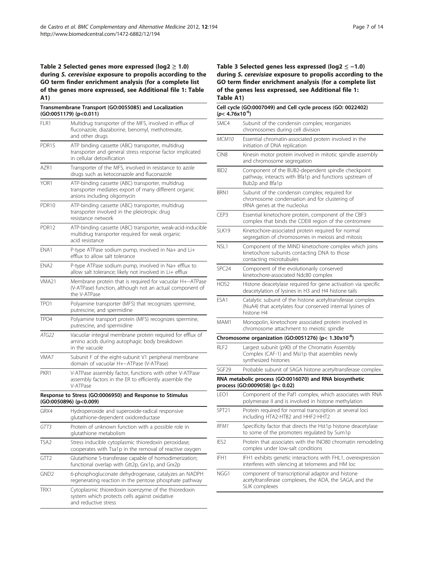#### <span id="page-6-0"></span>Table 2 Selected genes more expressed ( $log2 \ge 1.0$ ) during S. cerevisiae exposure to propolis according to the GO term finder enrichment analysis (for a complete list of the genes more expressed, see Additional file 1: Table A1)

|                   | Transmembrane Transport (GO:0055085) and Localization<br>(GO:0051179) (p<0.011)                                                              |
|-------------------|----------------------------------------------------------------------------------------------------------------------------------------------|
| FLR1              | Multidrug transporter of the MFS, involved in efflux of<br>fluconazole, diazaborine, benomyl, methotrexate,<br>and other drugs               |
| PDR <sub>15</sub> | ATP binding cassette (ABC) transporter, multidrug<br>transporter and general stress response factor implicated<br>in cellular detoxification |
| AZR1              | Transporter of the MFS, involved in resistance to azole<br>drugs such as ketoconazole and fluconazole                                        |
| YOR1              | ATP-binding cassette (ABC) transporter, multidrug<br>transporter mediates export of many different organic<br>anions including oligomycin    |
| PDR <sub>10</sub> | ATP-binding cassette (ABC) transporter, multidrug<br>transporter involved in the pleiotropic drug<br>resistance network                      |
| PDR <sub>12</sub> | ATP-binding cassette (ABC) transporter, weak-acid-inducible<br>multidrug transporter required for weak organic<br>acid resistance            |
| ENA1              | P-type ATPase sodium pump, involved in Na+ and Li+<br>efflux to allow salt tolerance                                                         |
| ENA <sub>2</sub>  | P-type ATPase sodium pump, involved in Na+ efflux to<br>allow salt tolerance; likely not involved in Li+ efflux                              |
| VMA21             | Membrane protein that is required for vacuolar H+-ATPase<br>(V-ATPase) function, although not an actual component of<br>the V-ATPase         |
| TPO1              | Polyamine transporter (MFS) that recognizes spermine,<br>putrescine, and spermidine                                                          |
| TPO <sub>4</sub>  | Polyamine transport protein (MFS) recognizes spermine,<br>putrescine, and spermidine                                                         |
| ATG22             | Vacuolar integral membrane protein required for efflux of<br>amino acids during autophagic body breakdown<br>in the vacuole                  |
| VMA7              | Subunit F of the eight-subunit V1 peripheral membrane<br>domain of vacuolar H+-ATPase (V-ATPase)                                             |
| PKR1              | V-ATPase assembly factor, functions with other V-ATPase<br>assembly factors in the ER to efficiently assemble the<br>V-ATPase                |
|                   | Response to Stress (GO:0006950) and Response to Stimulus<br>(GO:0050896) (p<0.009)                                                           |
| GRX4              | Hydroperoxide and superoxide-radical responsive<br>glutathione-dependent oxidoreductase                                                      |
| GTT3              | Protein of unknown function with a possible role in<br>glutathione metabolism                                                                |
| TSA <sub>2</sub>  | Stress inducible cytoplasmic thioredoxin peroxidase;<br>cooperates with Tsa1p in the removal of reactive oxygen                              |
| GTT <sub>2</sub>  | Glutathione S-transferase capable of homodimerization;<br>functional overlap with Gtt2p, Grx1p, and Grx2p                                    |
| GND <sub>2</sub>  | 6-phosphogluconate dehydrogenase, catalyzes an NADPH<br>regenerating reaction in the pentose phosphate pathway                               |
| TRX1              | Cytoplasmic thioredoxin isoenzyme of the thioredoxin<br>system which protects cells against oxidative<br>and reductive stress                |

#### Table 3 Selected genes less expressed (log2 ≤ −1.0) during S. cerevisiae exposure to propolis according to the GO term finder enrichment analysis (for a complete list of the genes less expressed, see Additional file [1:](#page-11-0) Table A1)

| Cell cycle (GO:0007049) and Cell cycle process (GO: 0022402)<br>(p< 4.76x10 <sup>-6</sup> )                                           |
|---------------------------------------------------------------------------------------------------------------------------------------|
| Subunit of the condensin complex; reorganizes<br>chromosomes during cell division                                                     |
| Essential chromatin-associated protein involved in the<br>initiation of DNA replication                                               |
| Kinesin motor protein involved in mitotic spindle assembly<br>and chromosome segregation                                              |
| Component of the BUB2-dependent spindle checkpoint<br>pathway, interacts with Bfa1p and functions upstream of<br>Bub2p and Bfa1p      |
| Subunit of the condensin complex; required for<br>chromosome condensation and for clustering of<br>tRNA genes at the nucleolus        |
| Essential kinetochore protein, component of the CBF3<br>complex that binds the CDEIII region of the centromere                        |
| Kinetochore-associated protein required for normal<br>segregation of chromosomes in meiosis and mitosis                               |
| Component of the MIND kinetochore complex which joins<br>kinetochore subunits contacting DNA to those<br>contacting microtubules      |
| Component of the evolutionarily conserved<br>kinetochore-associated Ndc80 complex                                                     |
| Histone deacetylase required for gene activation via specific<br>deacetylation of lysines in H3 and H4 histone tails                  |
| Catalytic subunit of the histone acetyltransferase complex<br>(NuA4) that acetylates four conserved internal lysines of<br>histone H4 |
| Monopolin, kinetochore associated protein involved in<br>chromosome attachment to meiotic spindle                                     |
| Chromosome organization (GO:0051276) (p< 1.30x10 <sup>-6</sup> )                                                                      |
| Largest subunit (p90) of the Chromatin Assembly<br>Complex (CAF-1) and Msi1p that assembles newly<br>synthesized histones             |
| Probable subunit of SAGA histone acetyltransferase complex                                                                            |
| RNA metabolic process (GO:0016070) and RNA biosynthetic<br>process (GO:0009058) (p< 0.02)                                             |
| Component of the Paf1 complex, which associates with RNA<br>polymerase II and is involved in histone methylation                      |
| Protein required for normal transcription at several loci<br>including HTA2-HTB2 and HHF2-HHT2                                        |
| Specificity factor that directs the Hst1p histone deacetylase<br>to some of the promoters regulated by Sum1p                          |
| Protein that associates with the INO80 chromatin remodeling<br>complex under low-salt conditions                                      |
| IFH1 exhibits genetic interactions with FHL1, overexpression<br>interferes with silencing at telomeres and HM loc                     |
| component of transcriptional adaptor and histone<br>acetyltransferase complexes, the ADA, the SAGA, and the<br>SLIK complexes         |
|                                                                                                                                       |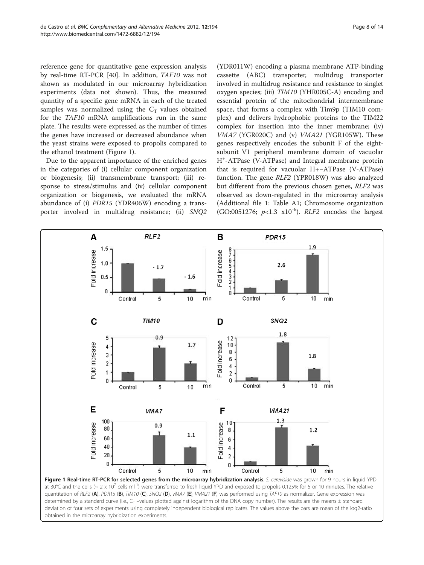<span id="page-7-0"></span>reference gene for quantitative gene expression analysis by real-time RT-PCR [\[40](#page-13-0)]. In addition, TAF10 was not shown as modulated in our microarray hybridization experiments (data not shown). Thus, the measured quantity of a specific gene mRNA in each of the treated samples was normalized using the  $C_T$  values obtained for the TAF10 mRNA amplifications run in the same plate. The results were expressed as the number of times the genes have increased or decreased abundance when the yeast strains were exposed to propolis compared to the ethanol treatment (Figure 1).

Due to the apparent importance of the enriched genes in the categories of (i) cellular component organization or biogenesis; (ii) transmembrane transport; (iii) response to stress/stimulus and (iv) cellular component organization or biogenesis, we evaluated the mRNA abundance of (i) PDR15 (YDR406W) encoding a transporter involved in multidrug resistance; (ii) SNQ2

(YDR011W) encoding a plasma membrane ATP-binding cassette (ABC) transporter, multidrug transporter involved in multidrug resistance and resistance to singlet oxygen species; (iii) TIM10 (YHR005C-A) encoding and essential protein of the mitochondrial intermembrane space, that forms a complex with Tim9p (TIM10 complex) and delivers hydrophobic proteins to the TIM22 complex for insertion into the inner membrane; (iv) VMA7 (YGR020C) and (v) VMA21 (YGR105W). These genes respectively encodes the subunit F of the eightsubunit V1 peripheral membrane domain of vacuolar H+ -ATPase (V-ATPase) and Integral membrane protein that is required for vacuolar H+−ATPase (V-ATPase) function. The gene RLF2 (YPR018W) was also analyzed but different from the previous chosen genes, RLF2 was observed as down-regulated in the microarray analysis (Additional file [1:](#page-11-0) Table A1; Chromosome organization (GO:0051276;  $p<1.3 \times 10^{-6}$ ). RLF2 encodes the largest



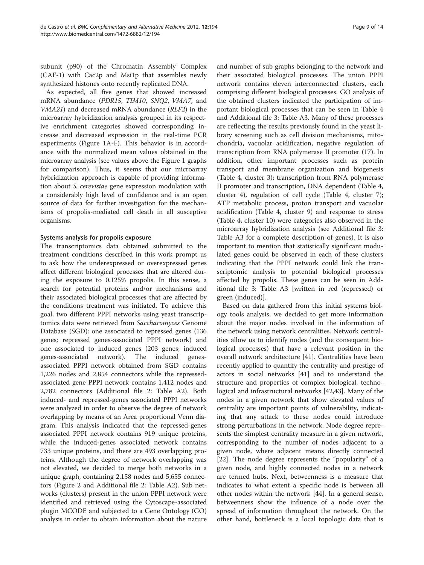subunit (p90) of the Chromatin Assembly Complex (CAF-1) with Cac2p and Msi1p that assembles newly synthesized histones onto recently replicated DNA.

As expected, all five genes that showed increased mRNA abundance (PDR15, TIM10, SNQ2, VMA7, and VMA21) and decreased mRNA abundance (RLF2) in the microarray hybridization analysis grouped in its respective enrichment categories showed corresponding increase and decreased expression in the real-time PCR experiments (Figure [1A-F](#page-7-0)). This behavior is in accordance with the normalized mean values obtained in the microarray analysis (see values above the Figure [1](#page-7-0) graphs for comparison). Thus, it seems that our microarray hybridization approach is capable of providing information about S. cerevisiae gene expression modulation with a considerably high level of confidence and is an open source of data for further investigation for the mechanisms of propolis-mediated cell death in all susceptive organisms.

# Systems analysis for propolis exposure

The transcriptomics data obtained submitted to the treatment conditions described in this work prompt us to ask how the underexpressed or overexpressed genes affect different biological processes that are altered during the exposure to 0.125% propolis. In this sense, a search for potential proteins and/or mechanisms and their associated biological processes that are affected by the conditions treatment was initiated. To achieve this goal, two different PPPI networks using yeast transcriptomics data were retrieved from Saccharomyces Genome Database (SGD): one associated to repressed genes (136 genes; repressed genes-associated PPPI network) and one associated to induced genes (203 genes; induced genes-associated network). The induced genesassociated PPPI network obtained from SGD contains 1,226 nodes and 2,854 connectors while the repressedassociated gene PPPI network contains 1,412 nodes and 2,782 connectors (Additional file [2](#page-11-0): Table A2). Both induced- and repressed-genes associated PPPI networks were analyzed in order to observe the degree of network overlapping by means of an Area proportional Venn diagram. This analysis indicated that the repressed-genes associated PPPI network contains 919 unique proteins, while the induced-genes associated network contains 733 unique proteins, and there are 493 overlapping proteins. Although the degree of network overlapping was not elevated, we decided to merge both networks in a unique graph, containing 2,158 nodes and 5,655 connectors (Figure [2](#page-9-0) and Additional file [2](#page-11-0): Table A2). Sub networks (clusters) present in the union PPPI network were identified and retrieved using the Cytoscape-associated plugin MCODE and subjected to a Gene Ontology (GO) analysis in order to obtain information about the nature

and number of sub graphs belonging to the network and their associated biological processes. The union PPPI network contains eleven interconnected clusters, each comprising different biological processes. GO analysis of the obtained clusters indicated the participation of important biological processes that can be seen in Table [4](#page-10-0) and Additional file [3:](#page-11-0) Table A3. Many of these processes are reflecting the results previously found in the yeast library screening such as cell division mechanisms, mitochondria, vacuolar acidification, negative regulation of transcription from RNA polymerase II promoter (17). In addition, other important processes such as protein transport and membrane organization and biogenesis (Table [4,](#page-10-0) cluster 3); transcription from RNA polymerase II promoter and transcription, DNA dependent (Table [4](#page-10-0), cluster 4), regulation of cell cycle (Table [4](#page-10-0), cluster 7); ATP metabolic process, proton transport and vacuolar acidification (Table [4](#page-10-0), cluster 9) and response to stress (Table [4](#page-10-0), cluster 10) were categories also observed in the microarray hybridization analysis (see Additional file [3](#page-11-0): Table A3 for a complete description of genes). It is also important to mention that statistically significant modulated genes could be observed in each of these clusters indicating that the PPPI network could link the transcriptomic analysis to potential biological processes affected by propolis. These genes can be seen in Additional file [3](#page-11-0): Table A3 [written in red (repressed) or green (induced)].

Based on data gathered from this initial systems biology tools analysis, we decided to get more information about the major nodes involved in the information of the network using network centralities. Network centralities allow us to identify nodes (and the consequent biological processes) that have a relevant position in the overall network architecture [\[41](#page-13-0)]. Centralities have been recently applied to quantify the centrality and prestige of actors in social networks [\[41\]](#page-13-0) and to understand the structure and properties of complex biological, technological and infrastructural networks [[42,43\]](#page-13-0). Many of the nodes in a given network that show elevated values of centrality are important points of vulnerability, indicating that any attack to these nodes could introduce strong perturbations in the network. Node degree represents the simplest centrality measure in a given network, corresponding to the number of nodes adjacent to a given node, where adjacent means directly connected [[22\]](#page-12-0). The node degree represents the "popularity" of a given node, and highly connected nodes in a network are termed hubs. Next, betweenness is a measure that indicates to what extent a specific node is between all other nodes within the network [\[44\]](#page-13-0). In a general sense, betweenness show the influence of a node over the spread of information throughout the network. On the other hand, bottleneck is a local topologic data that is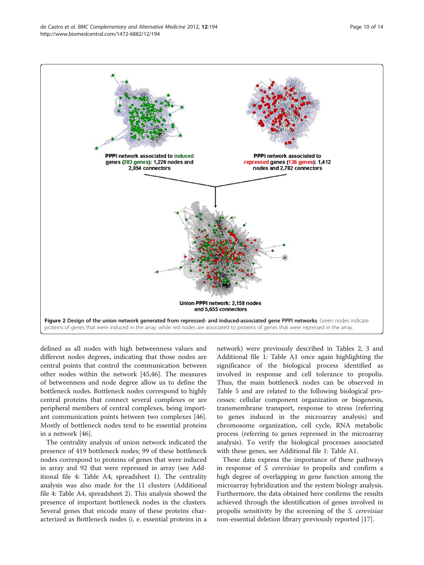

<span id="page-9-0"></span>

defined as all nodes with high betweenness values and different nodes degrees, indicating that those nodes are central points that control the communication between other nodes within the network [\[45,46\]](#page-13-0). The measures of betweenness and node degree allow us to define the bottleneck nodes. Bottleneck nodes correspond to highly central proteins that connect several complexes or are peripheral members of central complexes, being important communication points between two complexes [\[46](#page-13-0)]. Mostly of bottleneck nodes tend to be essential proteins in a network [[46](#page-13-0)].

The centrality analysis of union network indicated the presence of 419 bottleneck nodes; 99 of these bottleneck nodes correspond to proteins of genes that were induced in array and 92 that were repressed in array (see Additional file [4:](#page-11-0) Table A4, spreadsheet 1). The centrality analysis was also made for the 11 clusters (Additional file [4](#page-11-0): Table A4, spreadsheet 2). This analysis showed the presence of important bottleneck nodes in the clusters. Several genes that encode many of these proteins characterized as Bottleneck nodes (i. e. essential proteins in a

network) were previously described in Tables [2](#page-6-0), [3](#page-6-0) and Additional file [1:](#page-11-0) Table A1 once again highlighting the significance of the biological process identified as involved in response and cell tolerance to propolis. Thus, the main bottleneck nodes can be observed in Table [5](#page-11-0) and are related to the following biological processes: cellular component organization or biogenesis, transmembrane transport, response to stress (referring to genes induced in the microarray analysis) and chromosome organization, cell cycle, RNA metabolic process (referring to genes repressed in the microarray analysis). To verify the biological processes associated with these genes, see Additional file [1](#page-11-0): Table A1.

These data express the importance of these pathways in response of S. cerevisiae to propolis and confirm a high degree of overlapping in gene function among the microarray hybridization and the system biology analysis. Furthermore, the data obtained here confirms the results achieved through the identification of genes involved in propolis sensitivity by the screening of the S. cerevisiae non-essential deletion library previously reported [[17\]](#page-12-0).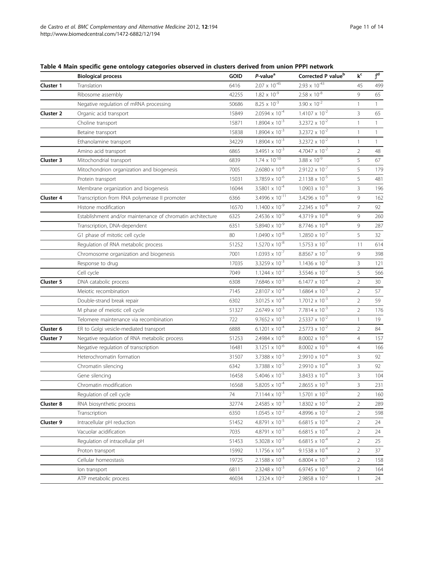<span id="page-10-0"></span>

| Table 4 Main specific gene ontology categories observed in clusters derived from union PPPI network |  |  |
|-----------------------------------------------------------------------------------------------------|--|--|
|-----------------------------------------------------------------------------------------------------|--|--|

|                  | <b>Biological process</b>                                  | <b>GOID</b> | P-value <sup>a</sup>             | Corrected P value <sup>b</sup>   | k <sup>c</sup> | $\overline{f^d}$ |
|------------------|------------------------------------------------------------|-------------|----------------------------------|----------------------------------|----------------|------------------|
| Cluster 1        | Translation                                                | 6416        | $2.07 \times 10^{-45}$           | $2.93 \times 10^{-43}$           | 45             | 499              |
|                  | Ribosome assembly                                          | 42255       | $1.82 \times 10^{-9}$            | $2.58 \times 10^{-8}$            | 9              | 65               |
|                  | Negative regulation of mRNA processing                     | 50686       | $8.25 \times 10^{-3}$            | $3.90 \times 10^{-2}$            | $\mathbf{1}$   | $\mathbf{1}$     |
| <b>Cluster 2</b> | Organic acid transport                                     | 15849       | $2.0594 \times 10^{-4}$          | $1.4107 \times 10^{-2}$          | $\mathbf{3}$   | 65               |
|                  | Choline transport                                          | 15871       | $1.8904 \times 10^{-3}$          | $3.2372 \times 10^{-2}$          | $\mathbf{1}$   | 1                |
|                  | Betaine transport                                          | 15838       | $1.8904 \times 10^{-3}$          | $3.2372 \times 10^{-2}$          | $\mathbf{1}$   | $\mathbf{1}$     |
|                  | Ethanolamine transport                                     | 34229       | $1.8904 \times 10^{-3}$          | $3.2372 \times 10^{-2}$          | $\mathbf{1}$   | $\mathbf{1}$     |
|                  | Amino acid transport                                       | 6865        | $3.4951 \times 10^{-3}$          | $4.7047 \times 10^{-2}$          | $\overline{2}$ | 48               |
| Cluster 3        | Mitochondrial transport                                    | 6839        | $1.74 \times 10^{-10}$           | $3.88 \times 10^{-9}$            | 5              | 67               |
|                  | Mitochondrion organization and biogenesis                  | 7005        | $2.6080 \times 10^{-8}$          | $2.9122 \times 10^{-7}$          | 5              | 179              |
|                  | Protein transport                                          | 15031       | $3.7859 \times 10^{-6}$          | $2.1138 \times 10^{-5}$          | 5              | 481              |
|                  | Membrane organization and biogenesis                       | 16044       | 3.5801 $\times$ 10 <sup>-4</sup> | $1.0903 \times 10^{-3}$          | 3              | 196              |
| <b>Cluster 4</b> | Transcription from RNA polymerase II promoter              | 6366        | 3.4996 x 10 <sup>-11</sup>       | $3.4296 \times 10^{-9}$          | 9              | 162              |
|                  | Histone modification                                       | 16570       | $1.1400 \times 10^{-9}$          | $2.2345 \times 10^{-8}$          | $\overline{7}$ | 92               |
|                  | Establishment and/or maintenance of chromatin architecture | 6325        | $2.4536 \times 10^{-9}$          | $4.3719 \times 10^{-8}$          | 9              | 260              |
|                  | Transcription, DNA-dependent                               | 6351        | $5.8940 \times 10^{-9}$          | $8.7746 \times 10^{-8}$          | $\overline{9}$ | 287              |
|                  | G1 phase of mitotic cell cycle                             | 80          | $1.0490 \times 10^{-8}$          | $1.2850 \times 10^{-7}$          | 5              | 32               |
|                  | Regulation of RNA metabolic process                        | 51252       | $1.5270 \times 10^{-8}$          | $1.5753 \times 10^{-7}$          | 11             | 614              |
|                  | Chromosome organization and biogenesis                     | 7001        | $1.0393 \times 10^{-7}$          | $8.8567 \times 10^{-7}$          | $\overline{9}$ | 398              |
|                  | Response to drug                                           | 17035       | $3.3259 \times 10^{-3}$          | $1.1436 \times 10^{-2}$          | $\overline{3}$ | 121              |
|                  | Cell cycle                                                 | 7049        | $1.1244 \times 10^{-2}$          | $3.5546 \times 10^{-2}$          | 5              | 566              |
| <b>Cluster 5</b> | DNA catabolic process                                      | 6308        | $7.6846 \times 10^{-5}$          | $6.1477 \times 10^{-4}$          | $\overline{2}$ | 30               |
|                  | Meiotic recombination                                      | 7145        | $2.8107 \times 10^{-4}$          | $1.6864 \times 10^{-3}$          | $\overline{2}$ | 57               |
|                  | Double-strand break repair                                 | 6302        | $3.0125 \times 10^{-4}$          | $1.7012 \times 10^{-3}$          | $\overline{2}$ | 59               |
|                  | M phase of meiotic cell cycle                              | 51327       | $2.6749 \times 10^{-3}$          | $7.7814 \times 10^{-3}$          | $\overline{2}$ | 176              |
|                  | Telomere maintenance via recombination                     | 722         | $9.7652 \times 10^{-3}$          | $2.5337 \times 10^{-2}$          | $\mathbf{1}$   | 19               |
| Cluster 6        | ER to Golgi vesicle-mediated transport                     | 6888        | $6.1201 \times 10^{-4}$          | $2.5773 \times 10^{-2}$          | $\overline{2}$ | 84               |
| Cluster 7        | Negative regulation of RNA metabolic process               | 51253       | $2.4984 \times 10^{-6}$          | $8.0002 \times 10^{-5}$          | $\overline{4}$ | 157              |
|                  | Negative regulation of transcription                       | 16481       | $3.1251 \times 10^{-6}$          | $8.0002 \times 10^{-5}$          | $\overline{4}$ | 166              |
|                  | Heterochromatin formation                                  | 31507       | $3.7388 \times 10^{-5}$          | $2.9910 \times 10^{-4}$          | $\overline{3}$ | 92               |
|                  | Chromatin silencing                                        | 6342        | $3.7388 \times 10^{-5}$          | $2.9910 \times 10^{-4}$          | $\overline{3}$ | 92               |
|                  | Gene silencing                                             | 16458       | $5.4046 \times 10^{-5}$          | $3.8433 \times 10^{-4}$          | 3              | 104              |
|                  | Chromatin modification                                     | 16568       | 5.8205 $\times$ 10 <sup>-4</sup> | $2.8655 \times 10^{-3}$          | 3              | 231              |
|                  | Regulation of cell cycle                                   | 74          | $7.1144 \times 10^{-3}$          | $1.5701 \times 10^{-2}$          | $\overline{2}$ | 160              |
| Cluster 8        | RNA biosynthetic process                                   | 32774       | $2.4585 \times 10^{-3}$          | $1.8302 \times 10^{-2}$          | $\overline{2}$ | 289              |
|                  | Transcription                                              | 6350        | $1.0545 \times 10^{-2}$          | 4.8996 $\times$ 10 <sup>-2</sup> | $\overline{2}$ | 598              |
| Cluster 9        | Intracellular pH reduction                                 | 51452       | 4.8791 x 10 <sup>-5</sup>        | $6.6815 \times 10^{-4}$          | $\overline{2}$ | 24               |
|                  | Vacuolar acidification                                     | 7035        | 4.8791 x 10 <sup>-5</sup>        | $6.6815 \times 10^{-4}$          | $\overline{2}$ | 24               |
|                  | Regulation of intracellular pH                             | 51453       | $5.3028 \times 10^{-5}$          | $6.6815 \times 10^{-4}$          | $\overline{2}$ | 25               |
|                  | Proton transport                                           | 15992       | $1.1756 \times 10^{-4}$          | $9.1538 \times 10^{-4}$          | $\overline{2}$ | 37               |
|                  | Cellular homeostasis                                       | 19725       | $2.1588 \times 10^{-3}$          | $6.8004 \times 10^{-3}$          | $\overline{2}$ | 158              |
|                  | lon transport                                              | 6811        | $2.3248 \times 10^{-3}$          | $6.9745 \times 10^{-3}$          | $\overline{2}$ | 164              |
|                  | ATP metabolic process                                      | 46034       | $1.2324 \times 10^{-2}$          | $2.9858 \times 10^{-2}$          | $\mathbf{1}$   | 24               |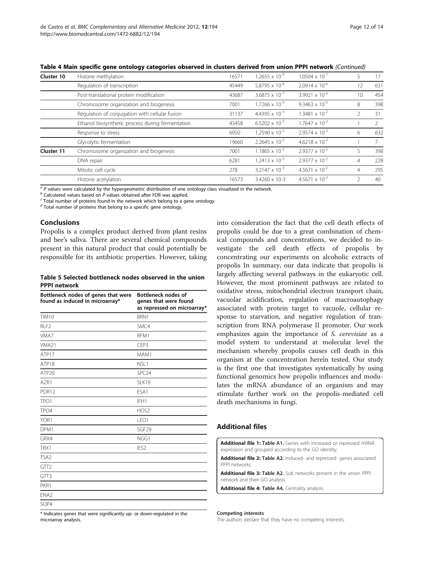| Cluster 10 | Histone methylation                              | 16571 | $1.2655 \times 10^{-9}$          | $1.0504 \times 10^{-7}$          |                | 17            |
|------------|--------------------------------------------------|-------|----------------------------------|----------------------------------|----------------|---------------|
|            | Regulation of transcription                      | 45449 | 5.8795 $\times$ 10 <sup>-8</sup> | $2.0914 \times 10^{-6}$          | 12             | 631           |
|            | Post-translational protein modification          | 43687 | $3.6875 \times 10^{-7}$          | 3.9921 $\times$ 10 <sup>-6</sup> | 10             | 454           |
|            | Chromosome organization and biogenesis           | 7001  | $1.7266 \times 10^{-5}$          | $9.3463 \times 10^{-5}$          | 8              | 398           |
|            | Regulation of conjugation with cellular fusion   | 31137 | $4.4395 \times 10^{-3}$          | $1.3481 \times 10^{-2}$          |                | 31            |
|            | Ethanol biosynthetic process during fermentation | 43458 | $6.5202 \times 10^{-3}$          | $1.7647 \times 10^{-2}$          |                | $\mathcal{P}$ |
|            | Response to stress                               | 6950  | $1.2590 \times 10^{-2}$          | $2.9574 \times 10^{-2}$          | 6              | 632           |
|            | Glycolytic fermentation                          | 19660 | $2.2645 \times 10^{-2}$          | $4.6218 \times 10^{-2}$          |                | 7             |
| Cluster 11 | Chromosome organization and biogenesis           | 7001  | $1.1865 \times 10^{-3}$          | $2.9377 \times 10^{-2}$          |                | 398           |
|            | DNA repair                                       | 6281  | $1.2413 \times 10^{-3}$          | $2.9377 \times 10^{-2}$          | $\overline{4}$ | 228           |
|            | Mitotic cell cycle                               | 278   | $3.2147 \times 10^{-3}$          | $4.5671 \times 10^{-2}$          | 4              | 295           |
|            | Histone acetylation                              | 16573 | 3.4260 x 10-3                    | $4.5671 \times 10^{-2}$          |                | 40            |
|            |                                                  |       |                                  |                                  |                |               |

<span id="page-11-0"></span>Table 4 Main specific gene ontology categories observed in clusters derived from union PPPI network (Continued)

 $\frac{a}{a}$  *P* values were calculated by the hypergeometric distribution of one ontology class visualized in the network.<br>  $\frac{b}{c}$  Calculated values based on *P* values obtained after FDR was applied.<br>
Calculated values

 $d$  Total number of proteins that belong to a specific gene ontology.

# Conclusions

Propolis is a complex product derived from plant resins and bee's saliva. There are several chemical compounds present in this natural product that could potentially be responsible for its antibiotic properties. However, taking

#### Table 5 Selected bottleneck nodes observed in the union PPPI network

| Bottleneck nodes of genes that were<br>found as induced in microarray* | <b>Bottleneck nodes of</b><br>genes that were found<br>as repressed on microarray* |
|------------------------------------------------------------------------|------------------------------------------------------------------------------------|
| <b>TIM10</b>                                                           | BRN1                                                                               |
| RIF <sub>2</sub>                                                       | SMC4                                                                               |
| VMA7                                                                   | RFM1                                                                               |
| VMA <sub>21</sub>                                                      | CFP3                                                                               |
| ATP17                                                                  | MAM1                                                                               |
| ATP <sub>18</sub>                                                      | NSL1                                                                               |
| ATP <sub>20</sub>                                                      | SPC <sub>24</sub>                                                                  |
| A7R1                                                                   | SLK19                                                                              |
| PDR12                                                                  | FSA1                                                                               |
| TPO <sub>1</sub>                                                       | IFH1                                                                               |
| TPO <sub>4</sub>                                                       | HOS <sub>2</sub>                                                                   |
| YOR1                                                                   | LEO1                                                                               |
| DFM1                                                                   | SGF <sub>29</sub>                                                                  |
| GRX4                                                                   | NGG1                                                                               |
| TRX1                                                                   | IES <sub>2</sub>                                                                   |
| TSA <sub>2</sub>                                                       |                                                                                    |
| GTT <sub>2</sub>                                                       |                                                                                    |
| GTT3                                                                   |                                                                                    |
| PKR1                                                                   |                                                                                    |
| ENA <sub>2</sub>                                                       |                                                                                    |
| SOP4                                                                   |                                                                                    |

\* Indicates genes that were significantly up- or down-regulated in the microarray analysis.

into consideration the fact that the cell death effects of propolis could be due to a great combination of chemical compounds and concentrations, we decided to investigate the cell death effects of propolis by concentrating our experiments on alcoholic extracts of propolis In summary, our data indicate that propolis is largely affecting several pathways in the eukaryotic cell. However, the most prominent pathways are related to oxidative stress, mitochondrial electron transport chain, vacuolar acidification, regulation of macroautophagy associated with protein target to vacuole, cellular response to starvation, and negative regulation of transcription from RNA polymerase II promoter. Our work emphasizes again the importance of S. cerevisiae as a model system to understand at molecular level the mechanism whereby propolis causes cell death in this organism at the concentration herein tested. Our study is the first one that investigates systematically by using functional genomics how propolis influences and modulates the mRNA abundance of an organism and may stimulate further work on the propolis-mediated cell death mechanisms in fungi.

# Additional files

[Additional file 1:](http://www.biomedcentral.com/content/supplementary/1472-6882-12-194-S1.xls) Table A1. Genes with increased or repressed mRNA expression and grouped according to the GO identity.

[Additional file 2:](http://www.biomedcentral.com/content/supplementary/1472-6882-12-194-S2.xls) Table A2. Induced- and repressed- genes associated PPPI networks.

[Additional file 3:](http://www.biomedcentral.com/content/supplementary/1472-6882-12-194-S3.ods) Table A2. Sub networks present in the union PPPI network and their GO analysis.

[Additional file 4:](http://www.biomedcentral.com/content/supplementary/1472-6882-12-194-S4.xls) Table A4. Centrality analysis.

#### Competing interests

The authors declare that they have no competing interests.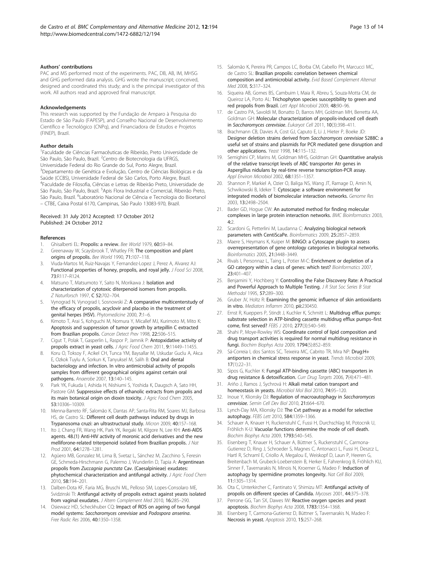#### <span id="page-12-0"></span>Authors' contributions

PAC and MS performed most of the experiments. PAC, DB, AB, IM, MHSG and GHG performed data analysis. GHG wrote the manuscript; conceived, designed and coordinated this study; and is the principal investigator of this work. All authors read and approved final manuscript.

#### Acknowledgements

This research was supported by the Fundação de Amparo à Pesquisa do Estado de São Paulo (FAPESP), and Conselho Nacional de Desenvolvimento Científico e Tecnológico (CNPq), and Financiadora de Estudos e Projetos (FINEP), Brazil.

#### Author details

1 Faculdade de Ciências Farmacêuticas de Ribeirão, Preto Universidade de São Paulo, São Paulo, Brazil. <sup>2</sup>Centro de Biotecnologia da UFRGS, Universidade Federal do Rio Grande do Sul, Porto Alegre, Brazil. <sup>3</sup>Departamento de Genética e Evolução, Centro de Ciências Biológicas e da Saúde (CCBS), Universidade Federal de São Carlos, Porto Alegre, Brazil. 4 Faculdade de Filosofia, Ciências e Letras de Ribeirão Preto, Universidade de São Paulo, São Paulo, Brazil. <sup>5</sup>Apis Flora Industrial e Comercial, Ribeirão Preto, São Paulo, Brazil. <sup>6</sup>Laboratório Nacional de Ciência e Tecnologia do Bioetanol – CTBE, Caixa Postal 6170, Campinas, São Paulo 13083-970, Brazil.

#### Received: 31 July 2012 Accepted: 17 October 2012 Published: 24 October 2012

#### References

- Ghisalberti EL: Propolis: a review. Bee World 1979, 60:59-84.
- 2. Greenaway W, Scaysbrook T, Whatley FR: The composition and plant origins of propolis. Bee World 1990, 71:107–118.
- 3. Viuda-Martos M, Ruiz-Navajas Y, Fernandez-Lopez J, Perez A, Alvarez AJ: Functional properties of honey, propolis, and royal jelly. J Food Sci 2008, 73:R117–R124.
- Matsuno T, Matsumoto Y, Saito N, Morikawa J: Isolation and characterization of cytotoxic diterpenoid isomers from propolis. Z Naturforsch 1997, C 52:702–704.
- 5. Vynograd N, Vynograd I, Sosnowski Z: A comparative multicenterstudy of the efficacy of propolis, acyclovir and placebo in the treatment of genital herpes (HSV). Phytomedicine 2000, 7:1–6.
- Kimoto T, Arai S, Kohguchi M, Nomura Y, Micallef MJ, Kurimoto M, Mito K: Apoptosis and suppression of tumor growth by artepillin C extracted from Brazilian propolis. Cancer Detect Prev 1998, 22:506-515.
- 7. Cigut T, Polak T, Gasperlin L, Raspor P, Jamnik P: Antopxidative activity of propolis extract in yeast cells. J Agric Food Chem 2011, 9:11449-11455.
- Koru O, Toksoy F, Acikel CH, Tunca YM, Baysallar M, Uskudar Guclu A, Akca E, Ozkok Tuylu A, Sorkun K, Tanyuksel M, Salih B: Oral and dental bacteriology and infection. In vitro antimicrobial activity of propolis samples from different geographical origins against certain oral pathogens. Anaerobe 2007, 13:140–145.
- 9. Park YK, Fukuda I, Ashida H, Nishiumi S, Yoshida K, Daugsch A, Sato HH, Pastore GM: Suppressive effects of ethanolic extracts from propolis and its main botanical origin on dioxin toxicity. J Agric Food Chem 2005, 53:10306–10309.
- 10. Menna-Barreto RF, Salomão K, Dantas AP, Santa-Rita RM, Soares MJ, Barbosa HS, de Castro SL: Different cell death pathways induced by drugs in Trypanosoma cruzi: an ultrastructural study. Micron 2009, 40:157–168.
- 11. Ito J, Chang FR, Wang HK, Park YK, Ikegaki M, Kilgore N, Lee KH: Anti-AIDS agents. 48.(1) Anti-HIV activity of moronic acid derivatives and the new melliforone-related triterpenoid isolated from Brazilian propolis. J Nat Prod 2001, 64:1278–1281.
- 12. Agüero MB, Gonzalez M, Lima B, Svetaz L, Sánchez M, Zacchino S, Feresin GE, Schmeda-Hirschmann G, Palermo J, Wunderlin D, Tapia A: Argentinean propolis from Zuccagnia punctata Cav. (Caesalpinieae) exudates: phytochemical characterization and antifungal activity. J Agric Food Chem 2010, 58:194–201.
- 13. Dalben-Dota KF, Faria MG, Bruschi ML, Pelloso SM, Lopes-Consolaro ME, Svidzinski TI: Antifungal activity of propolis extract against yeasts isolated from vaginal exudates. J Altern Complement Med 2010, 16:285-290.
- 14. Osiewacz HD, Scheckhuber CQ: Impact of ROS on ageing of two fungal model systems: Saccharomyces cerevisiae and Podospora anserina. Free Radic Res 2006, 40:1350–1358.
- 15. Salomão K, Pereira PR, Campos LC, Borba CM, Cabello PH, Marcucci MC, de Castro SL: Brazilian propolis: correlation between chemical composition and antimicrobial activity. Evid Based Complement Alternat Med 2008, 5:317–324.
- 16. Siqueira AB, Gomes BS, Cambuim I, Maia R, Abreu S, Souza-Motta CM, de Queiroz LA, Porto AL: Trichophyton species susceptibility to green and red propolis from Brazil. Lett Appl Microbiol 2009, 48:90–96.
- 17. de Castro PA, Savoldi M, Bonatto D, Barros MH, Goldman MH, Berretta AA, Goldman GH: Molecular characterization of propolis-induced cell death in Saccharomyces cerevisiae. Eukaryot Cell 2011, 10(3):398–411.
- 18. Brachmann CB, Davies A, Cost GJ, Caputo E, Li J, Hieter P, Boeke JD: Designer deletion strains derived from Saccharomyces cerevisiae S288C: a useful set of strains and plasmids for PCR mediated gene disruption and other applications. Yeast 1998, 14:115–132.
- 19. Semighini CP, Marins M, Goldman MHS, Goldman GH: Quantitative analysis of the relative transcript levels of ABC transporter Atr genes in Aspergillus nidulans by real-time reverse transcription-PCR assay. Appl Environ Microbiol 2002, 68:1351-1357
- 20. Shannon P, Markiel A, Ozier O, Baliga NS, Wang JT, Ramage D, Amin N, Schwikowski B, Ideker T: Cytoscape: a software environment for integrated models of biomolecular interaction networks. Genome Res 2003, 13:2498–2504.
- 21. Bader GD, Hogue CW: An automated method for finding molecular complexes in large protein interaction networks. BMC Bioinformatics 2003,  $4:2$
- 22. Scardoni G, Petterlini M, Laudanna C: Analyzing biological network parameters with CentiScaPe. Bioinformatics 2009, 25:2857–2859.
- 23. Maere S, Heymans K, Kuiper M: BiNGO: a Cytoscape plugin to assess overrepresentation of gene ontology categories in biological networks. Bioinformatics 2005, 21:3448–3449.
- 24. Rivals I, Personnaz L, Taing L, Potier M-C: Enrichment or depletion of a GO category within a class of genes: which test? Bioinformatics 2007, 23:401–407.
- 25. Benjamini Y, Hochberg Y: Controlling the False Discovery Rate: A Practical and Powerful Approach to Multiple Testing. J R Stat Soc Series B Stat Methodol 1995, 57:289–300.
- 26. Gruber JV, Holtz R: Examining the genomic influence of skin antioxidants in vitro. Mediators Inflamm 2010, pii:230450.
- 27. Ernst R, Kueppers P, Stindt J, Kuchler K, Schmitt L: Multidrug efflux pumps: substrate selection in ATP-binding cassette multidrug efflux pumps–first come, first served? FEBS J 2010, 277(3):540–549.
- 28. Shahi P, Moye-Rowley WS: Coordinate control of lipid composition and drug transport activities is required for normal multidrug resistance in fungi. Biochim Biophys Acta 2009, 1794(5):852–859.
- 29. Sá-Correia I, dos Santos SC, Teixeira MC, Cabrito TR, Mira NP: Drug:H+ antiporters in chemical stress response in yeast. Trends Microbiol 2009, 17(1):22–31.
- 30. Sipos G, Kuchler K: Fungal ATP-binding cassette (ABC) transporters in drug resistance & detoxification. Curr Drug Targets 2006, 7(4):471–481.
- 31. Ariño J, Ramos J, Sychrová H: Alkali metal cation transport and homeostasis in yeasts. Microbiol Mol Biol 2010, 74:95–120.
- 32. Inoue Y, Klionsky DJ: Regulation of macroautophagy in Saccharomyces cerevisiae. Semin Cell Dev Biol 2010, 21:664–670.
- 33. Lynch-Day MA, Klionsky DJ: The Cvt pathway as a model for selective autophagy. FEBS Lett 2010, 584:1359–1366.
- 34. Schauer A, Knauer H, Ruckenstuhl C, Fussi H, Durchschlag M, Potocnik U, Fröhlich K-U: Vacuolar functions determine the mode of cell death. Biochim Biophys Acta 2009, 1793:540–545.
- 35. Eisenberg T, Knauer H, Schauer A, Büttner S, Ruckenstuhl C, Carmona-Gutierrez D, Ring J, Schroeder S, Magnes C, Antonacci L, Fussi H, Deszcz L, Hartl R, Schraml E, Criollo A, Megalou E, Weiskopf D, Laun P, Heeren G, Breitenbach M, Grubeck-Loebenstein B, Herker E, Fahrenkrog B, Fröhlich KU, Sinner F, Tavernarakis N, Minois N, Kroemer G, Madeo F: Induction of autophagy by spermidine promotes longevity. Nat Cell Biol 2009, 11:1305–1314.
- 36. Ota C, Unterkircher C, Fantinato V, Shimizu MT: Antifungal activity of propolis on different species of Candida. Mycoses 2001, 44:375–378.
- 37. Perrone GG, Tan SX, Dawes IW: Reactive oxygen species and yeast apoptosis. Biochim Biophys Acta 2008, 1783:1354–1368.
- 38. Eisenberg T, Carmona-Gutierrez D, Büttner S, Tavernarakis N, Madeo F: Necrosis in yeast. Apoptosis 2010, 15:257–268.